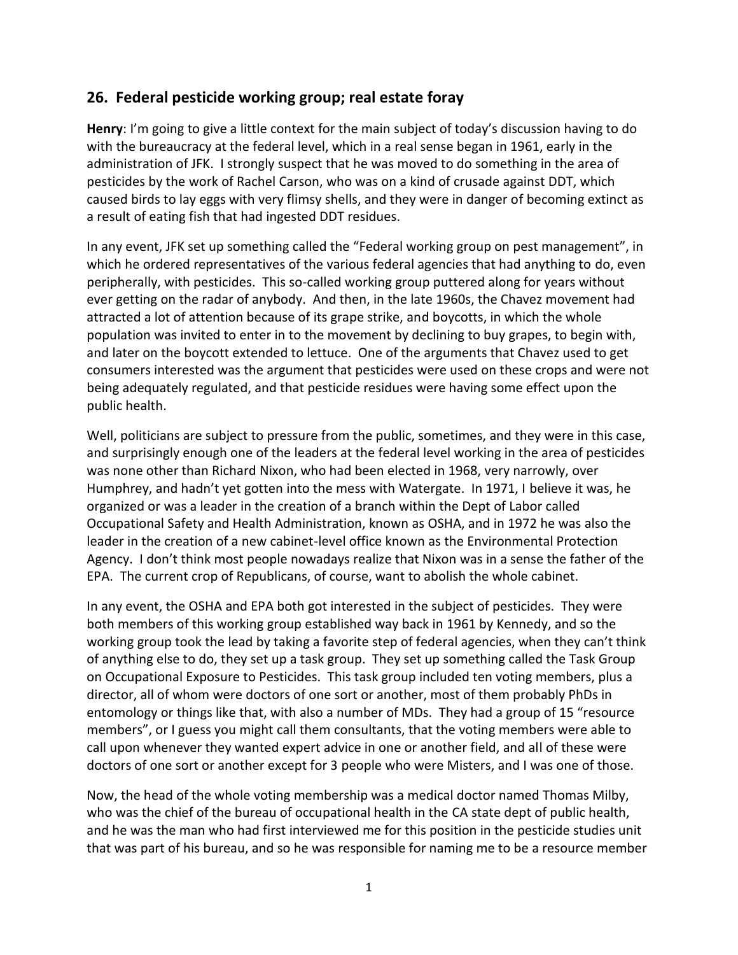## **26. Federal pesticide working group; real estate foray**

**Henry**: I'm going to give a little context for the main subject of today's discussion having to do with the bureaucracy at the federal level, which in a real sense began in 1961, early in the administration of JFK. I strongly suspect that he was moved to do something in the area of pesticides by the work of Rachel Carson, who was on a kind of crusade against DDT, which caused birds to lay eggs with very flimsy shells, and they were in danger of becoming extinct as a result of eating fish that had ingested DDT residues.

In any event, JFK set up something called the "Federal working group on pest management", in which he ordered representatives of the various federal agencies that had anything to do, even peripherally, with pesticides. This so-called working group puttered along for years without ever getting on the radar of anybody. And then, in the late 1960s, the Chavez movement had attracted a lot of attention because of its grape strike, and boycotts, in which the whole population was invited to enter in to the movement by declining to buy grapes, to begin with, and later on the boycott extended to lettuce. One of the arguments that Chavez used to get consumers interested was the argument that pesticides were used on these crops and were not being adequately regulated, and that pesticide residues were having some effect upon the public health.

Well, politicians are subject to pressure from the public, sometimes, and they were in this case, and surprisingly enough one of the leaders at the federal level working in the area of pesticides was none other than Richard Nixon, who had been elected in 1968, very narrowly, over Humphrey, and hadn't yet gotten into the mess with Watergate. In 1971, I believe it was, he organized or was a leader in the creation of a branch within the Dept of Labor called Occupational Safety and Health Administration, known as OSHA, and in 1972 he was also the leader in the creation of a new cabinet-level office known as the Environmental Protection Agency. I don't think most people nowadays realize that Nixon was in a sense the father of the EPA. The current crop of Republicans, of course, want to abolish the whole cabinet.

In any event, the OSHA and EPA both got interested in the subject of pesticides. They were both members of this working group established way back in 1961 by Kennedy, and so the working group took the lead by taking a favorite step of federal agencies, when they can't think of anything else to do, they set up a task group. They set up something called the Task Group on Occupational Exposure to Pesticides. This task group included ten voting members, plus a director, all of whom were doctors of one sort or another, most of them probably PhDs in entomology or things like that, with also a number of MDs. They had a group of 15 "resource members", or I guess you might call them consultants, that the voting members were able to call upon whenever they wanted expert advice in one or another field, and all of these were doctors of one sort or another except for 3 people who were Misters, and I was one of those.

Now, the head of the whole voting membership was a medical doctor named Thomas Milby, who was the chief of the bureau of occupational health in the CA state dept of public health, and he was the man who had first interviewed me for this position in the pesticide studies unit that was part of his bureau, and so he was responsible for naming me to be a resource member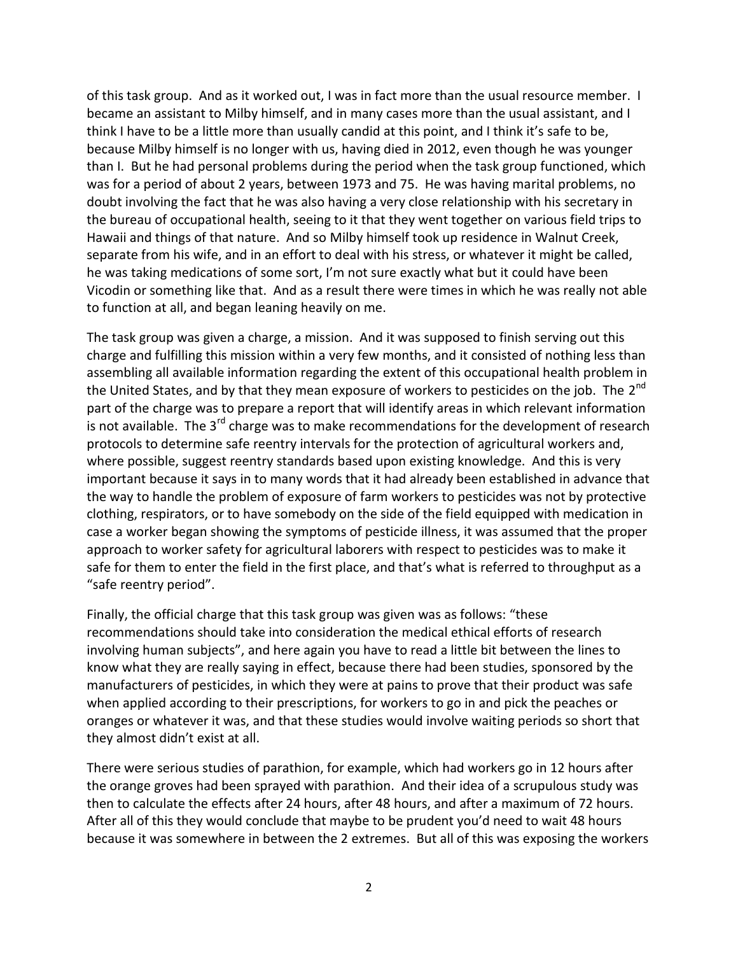of this task group. And as it worked out, I was in fact more than the usual resource member. I became an assistant to Milby himself, and in many cases more than the usual assistant, and I think I have to be a little more than usually candid at this point, and I think it's safe to be, because Milby himself is no longer with us, having died in 2012, even though he was younger than I. But he had personal problems during the period when the task group functioned, which was for a period of about 2 years, between 1973 and 75. He was having marital problems, no doubt involving the fact that he was also having a very close relationship with his secretary in the bureau of occupational health, seeing to it that they went together on various field trips to Hawaii and things of that nature. And so Milby himself took up residence in Walnut Creek, separate from his wife, and in an effort to deal with his stress, or whatever it might be called, he was taking medications of some sort, I'm not sure exactly what but it could have been Vicodin or something like that. And as a result there were times in which he was really not able to function at all, and began leaning heavily on me.

The task group was given a charge, a mission. And it was supposed to finish serving out this charge and fulfilling this mission within a very few months, and it consisted of nothing less than assembling all available information regarding the extent of this occupational health problem in the United States, and by that they mean exposure of workers to pesticides on the job. The 2<sup>nd</sup> part of the charge was to prepare a report that will identify areas in which relevant information is not available. The  $3^{rd}$  charge was to make recommendations for the development of research protocols to determine safe reentry intervals for the protection of agricultural workers and, where possible, suggest reentry standards based upon existing knowledge. And this is very important because it says in to many words that it had already been established in advance that the way to handle the problem of exposure of farm workers to pesticides was not by protective clothing, respirators, or to have somebody on the side of the field equipped with medication in case a worker began showing the symptoms of pesticide illness, it was assumed that the proper approach to worker safety for agricultural laborers with respect to pesticides was to make it safe for them to enter the field in the first place, and that's what is referred to throughput as a "safe reentry period".

Finally, the official charge that this task group was given was as follows: "these recommendations should take into consideration the medical ethical efforts of research involving human subjects", and here again you have to read a little bit between the lines to know what they are really saying in effect, because there had been studies, sponsored by the manufacturers of pesticides, in which they were at pains to prove that their product was safe when applied according to their prescriptions, for workers to go in and pick the peaches or oranges or whatever it was, and that these studies would involve waiting periods so short that they almost didn't exist at all.

There were serious studies of parathion, for example, which had workers go in 12 hours after the orange groves had been sprayed with parathion. And their idea of a scrupulous study was then to calculate the effects after 24 hours, after 48 hours, and after a maximum of 72 hours. After all of this they would conclude that maybe to be prudent you'd need to wait 48 hours because it was somewhere in between the 2 extremes. But all of this was exposing the workers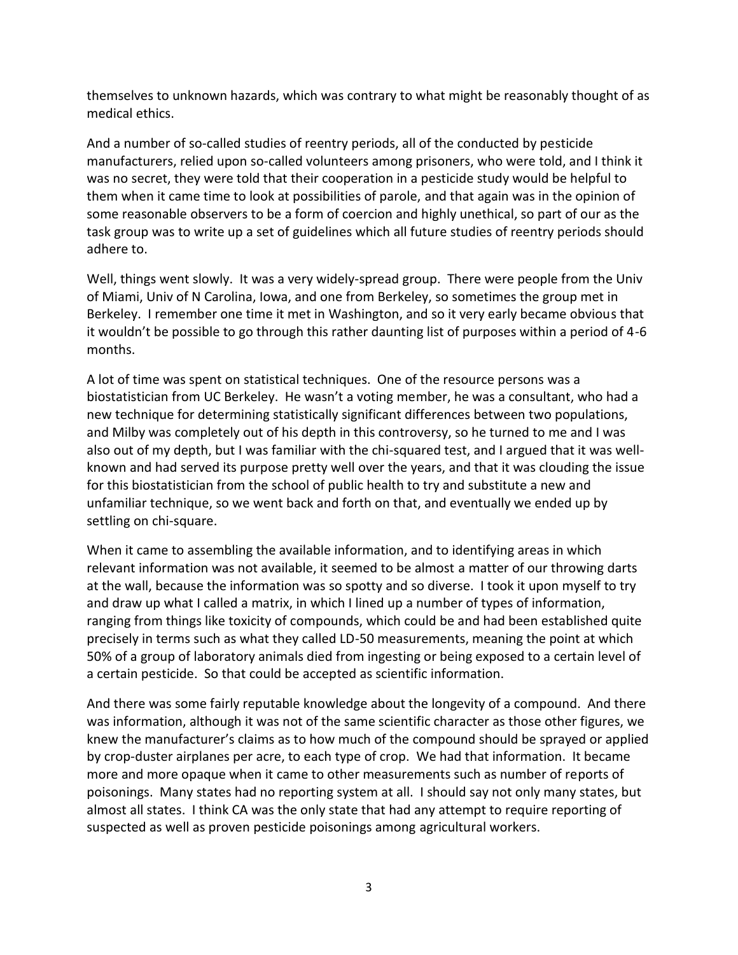themselves to unknown hazards, which was contrary to what might be reasonably thought of as medical ethics.

And a number of so-called studies of reentry periods, all of the conducted by pesticide manufacturers, relied upon so-called volunteers among prisoners, who were told, and I think it was no secret, they were told that their cooperation in a pesticide study would be helpful to them when it came time to look at possibilities of parole, and that again was in the opinion of some reasonable observers to be a form of coercion and highly unethical, so part of our as the task group was to write up a set of guidelines which all future studies of reentry periods should adhere to.

Well, things went slowly. It was a very widely-spread group. There were people from the Univ of Miami, Univ of N Carolina, Iowa, and one from Berkeley, so sometimes the group met in Berkeley. I remember one time it met in Washington, and so it very early became obvious that it wouldn't be possible to go through this rather daunting list of purposes within a period of 4-6 months.

A lot of time was spent on statistical techniques. One of the resource persons was a biostatistician from UC Berkeley. He wasn't a voting member, he was a consultant, who had a new technique for determining statistically significant differences between two populations, and Milby was completely out of his depth in this controversy, so he turned to me and I was also out of my depth, but I was familiar with the chi-squared test, and I argued that it was well known and had served its purpose pretty well over the years, and that it was clouding the issue for this biostatistician from the school of public health to try and substitute a new and unfamiliar technique, so we went back and forth on that, and eventually we ended up by settling on chi-square.

When it came to assembling the available information, and to identifying areas in which relevant information was not available, it seemed to be almost a matter of our throwing darts at the wall, because the information was so spotty and so diverse. I took it upon myself to try and draw up what I called a matrix, in which I lined up a number of types of information, ranging from things like toxicity of compounds, which could be and had been established quite precisely in terms such as what they called LD-50 measurements, meaning the point at which 50% of a group of laboratory animals died from ingesting or being exposed to a certain level of a certain pesticide. So that could be accepted as scientific information.

And there was some fairly reputable knowledge about the longevity of a compound. And there was information, although it was not of the same scientific character as those other figures, we knew the manufacturer's claims as to how much of the compound should be sprayed or applied by crop-duster airplanes per acre, to each type of crop. We had that information. It became more and more opaque when it came to other measurements such as number of reports of poisonings. Many states had no reporting system at all. I should say not only many states, but almost all states. I think CA was the only state that had any attempt to require reporting of suspected as well as proven pesticide poisonings among agricultural workers.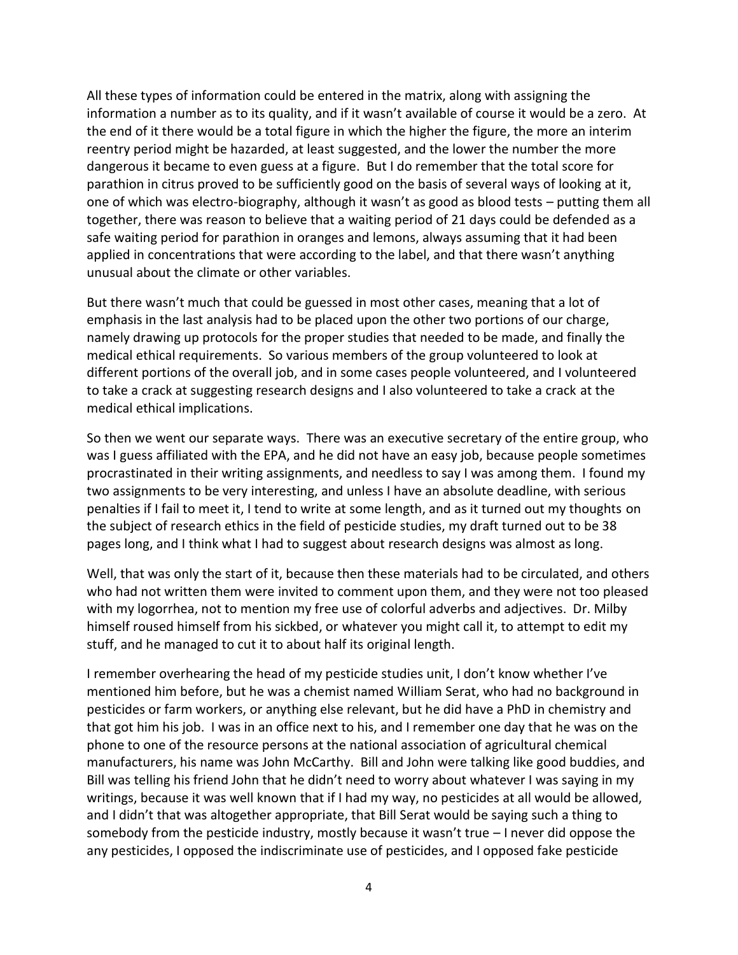All these types of information could be entered in the matrix, along with assigning the information a number as to its quality, and if it wasn't available of course it would be a zero. At the end of it there would be a total figure in which the higher the figure, the more an interim reentry period might be hazarded, at least suggested, and the lower the number the more dangerous it became to even guess at a figure. But I do remember that the total score for parathion in citrus proved to be sufficiently good on the basis of several ways of looking at it, one of which was electro-biography, although it wasn't as good as blood tests – putting them all together, there was reason to believe that a waiting period of 21 days could be defended as a safe waiting period for parathion in oranges and lemons, always assuming that it had been applied in concentrations that were according to the label, and that there wasn't anything unusual about the climate or other variables.

But there wasn't much that could be guessed in most other cases, meaning that a lot of emphasis in the last analysis had to be placed upon the other two portions of our charge, namely drawing up protocols for the proper studies that needed to be made, and finally the medical ethical requirements. So various members of the group volunteered to look at different portions of the overall job, and in some cases people volunteered, and I volunteered to take a crack at suggesting research designs and I also volunteered to take a crack at the medical ethical implications.

So then we went our separate ways. There was an executive secretary of the entire group, who was I guess affiliated with the EPA, and he did not have an easy job, because people sometimes procrastinated in their writing assignments, and needless to say I was among them. I found my two assignments to be very interesting, and unless I have an absolute deadline, with serious penalties if I fail to meet it, I tend to write at some length, and as it turned out my thoughts on the subject of research ethics in the field of pesticide studies, my draft turned out to be 38 pages long, and I think what I had to suggest about research designs was almost as long.

Well, that was only the start of it, because then these materials had to be circulated, and others who had not written them were invited to comment upon them, and they were not too pleased with my logorrhea, not to mention my free use of colorful adverbs and adjectives. Dr. Milby himself roused himself from his sickbed, or whatever you might call it, to attempt to edit my stuff, and he managed to cut it to about half its original length.

I remember overhearing the head of my pesticide studies unit, I don't know whether I've mentioned him before, but he was a chemist named William Serat, who had no background in pesticides or farm workers, or anything else relevant, but he did have a PhD in chemistry and that got him his job. I was in an office next to his, and I remember one day that he was on the phone to one of the resource persons at the national association of agricultural chemical manufacturers, his name was John McCarthy. Bill and John were talking like good buddies, and Bill was telling his friend John that he didn't need to worry about whatever I was saying in my writings, because it was well known that if I had my way, no pesticides at all would be allowed, and I didn't that was altogether appropriate, that Bill Serat would be saying such a thing to somebody from the pesticide industry, mostly because it wasn't true – I never did oppose the any pesticides, I opposed the indiscriminate use of pesticides, and I opposed fake pesticide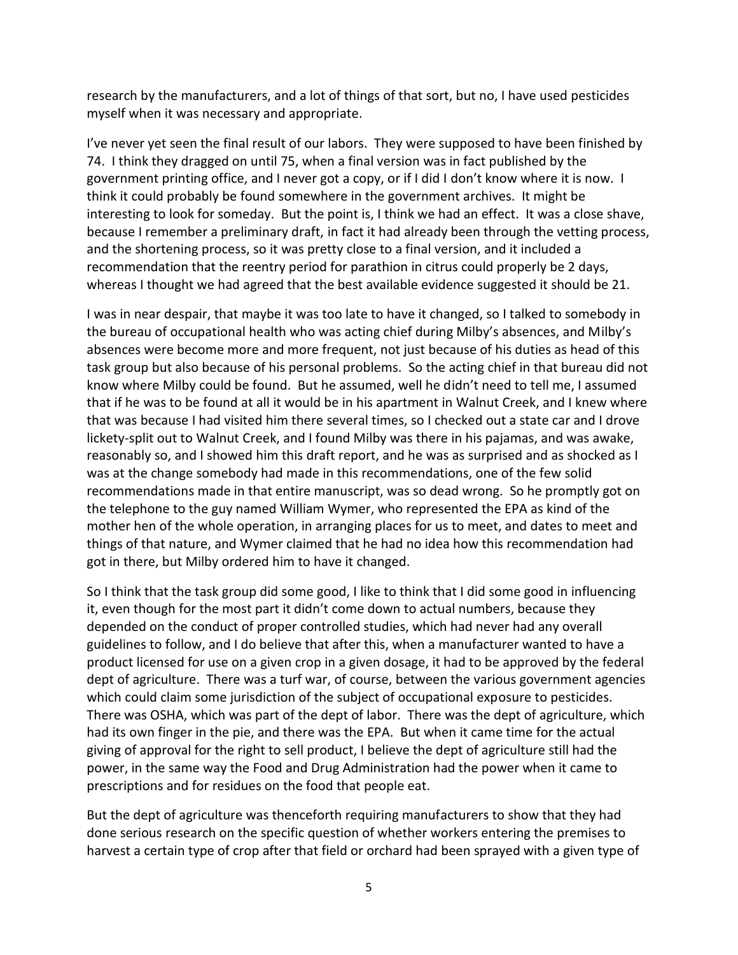research by the manufacturers, and a lot of things of that sort, but no, I have used pesticides myself when it was necessary and appropriate.

I've never yet seen the final result of our labors. They were supposed to have been finished by 74. I think they dragged on until 75, when a final version was in fact published by the government printing office, and I never got a copy, or if I did I don't know where it is now. I think it could probably be found somewhere in the government archives. It might be interesting to look for someday. But the point is, I think we had an effect. It was a close shave, because I remember a preliminary draft, in fact it had already been through the vetting process, and the shortening process, so it was pretty close to a final version, and it included a recommendation that the reentry period for parathion in citrus could properly be 2 days, whereas I thought we had agreed that the best available evidence suggested it should be 21.

I was in near despair, that maybe it was too late to have it changed, so I talked to somebody in the bureau of occupational health who was acting chief during Milby's absences, and Milby's absences were become more and more frequent, not just because of his duties as head of this task group but also because of his personal problems. So the acting chief in that bureau did not know where Milby could be found. But he assumed, well he didn't need to tell me, I assumed that if he was to be found at all it would be in his apartment in Walnut Creek, and I knew where that was because I had visited him there several times, so I checked out a state car and I drove lickety-split out to Walnut Creek, and I found Milby was there in his pajamas, and was awake, reasonably so, and I showed him this draft report, and he was as surprised and as shocked as I was at the change somebody had made in this recommendations, one of the few solid recommendations made in that entire manuscript, was so dead wrong. So he promptly got on the telephone to the guy named William Wymer, who represented the EPA as kind of the mother hen of the whole operation, in arranging places for us to meet, and dates to meet and things of that nature, and Wymer claimed that he had no idea how this recommendation had got in there, but Milby ordered him to have it changed.

So I think that the task group did some good, I like to think that I did some good in influencing it, even though for the most part it didn't come down to actual numbers, because they depended on the conduct of proper controlled studies, which had never had any overall guidelines to follow, and I do believe that after this, when a manufacturer wanted to have a product licensed for use on a given crop in a given dosage, it had to be approved by the federal dept of agriculture. There was a turf war, of course, between the various government agencies which could claim some jurisdiction of the subject of occupational exposure to pesticides. There was OSHA, which was part of the dept of labor. There was the dept of agriculture, which had its own finger in the pie, and there was the EPA. But when it came time for the actual giving of approval for the right to sell product, I believe the dept of agriculture still had the power, in the same way the Food and Drug Administration had the power when it came to prescriptions and for residues on the food that people eat.

But the dept of agriculture was thenceforth requiring manufacturers to show that they had done serious research on the specific question of whether workers entering the premises to harvest a certain type of crop after that field or orchard had been sprayed with a given type of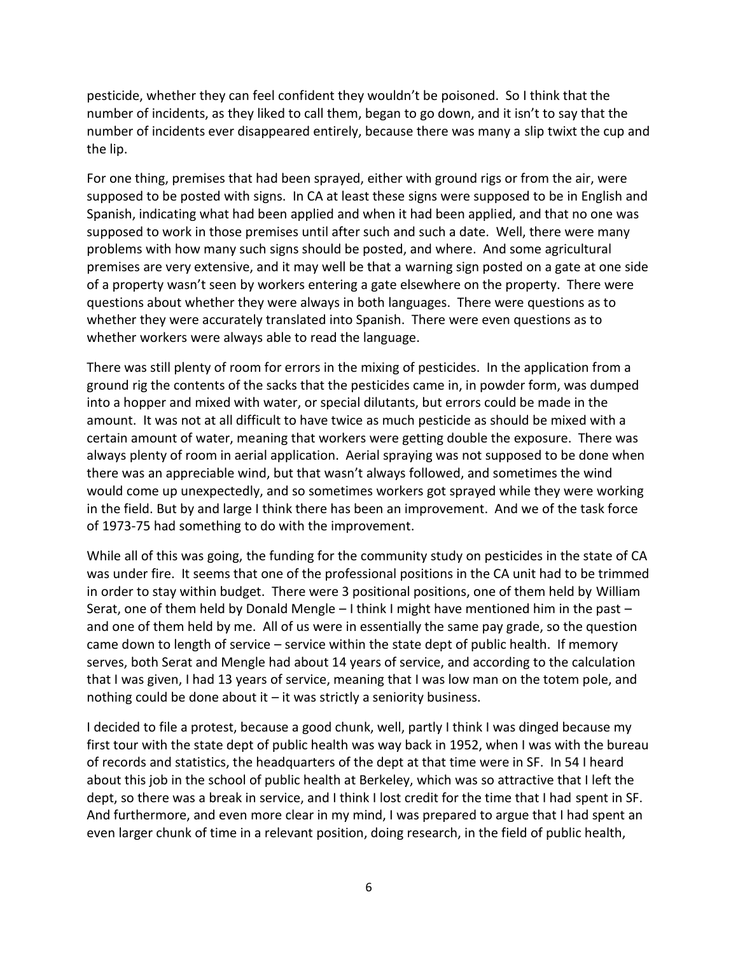pesticide, whether they can feel confident they wouldn't be poisoned. So I think that the number of incidents, as they liked to call them, began to go down, and it isn't to say that the number of incidents ever disappeared entirely, because there was many a slip twixt the cup and the lip.

For one thing, premises that had been sprayed, either with ground rigs or from the air, were supposed to be posted with signs. In CA at least these signs were supposed to be in English and Spanish, indicating what had been applied and when it had been applied, and that no one was supposed to work in those premises until after such and such a date. Well, there were many problems with how many such signs should be posted, and where. And some agricultural premises are very extensive, and it may well be that a warning sign posted on a gate at one side of a property wasn't seen by workers entering a gate elsewhere on the property. There were questions about whether they were always in both languages. There were questions as to whether they were accurately translated into Spanish. There were even questions as to whether workers were always able to read the language.

There was still plenty of room for errors in the mixing of pesticides. In the application from a ground rig the contents of the sacks that the pesticides came in, in powder form, was dumped into a hopper and mixed with water, or special dilutants, but errors could be made in the amount. It was not at all difficult to have twice as much pesticide as should be mixed with a certain amount of water, meaning that workers were getting double the exposure. There was always plenty of room in aerial application. Aerial spraying was not supposed to be done when there was an appreciable wind, but that wasn't always followed, and sometimes the wind would come up unexpectedly, and so sometimes workers got sprayed while they were working in the field. But by and large I think there has been an improvement. And we of the task force of 1973-75 had something to do with the improvement.

While all of this was going, the funding for the community study on pesticides in the state of CA was under fire. It seems that one of the professional positions in the CA unit had to be trimmed in order to stay within budget. There were 3 positional positions, one of them held by William Serat, one of them held by Donald Mengle – I think I might have mentioned him in the past – and one of them held by me. All of us were in essentially the same pay grade, so the question came down to length of service – service within the state dept of public health. If memory serves, both Serat and Mengle had about 14 years of service, and according to the calculation that I was given, I had 13 years of service, meaning that I was low man on the totem pole, and nothing could be done about it – it was strictly a seniority business.

I decided to file a protest, because a good chunk, well, partly I think I was dinged because my first tour with the state dept of public health was way back in 1952, when I was with the bureau of records and statistics, the headquarters of the dept at that time were in SF. In 54 I heard about this job in the school of public health at Berkeley, which was so attractive that I left the dept, so there was a break in service, and I think I lost credit for the time that I had spent in SF. And furthermore, and even more clear in my mind, I was prepared to argue that I had spent an even larger chunk of time in a relevant position, doing research, in the field of public health,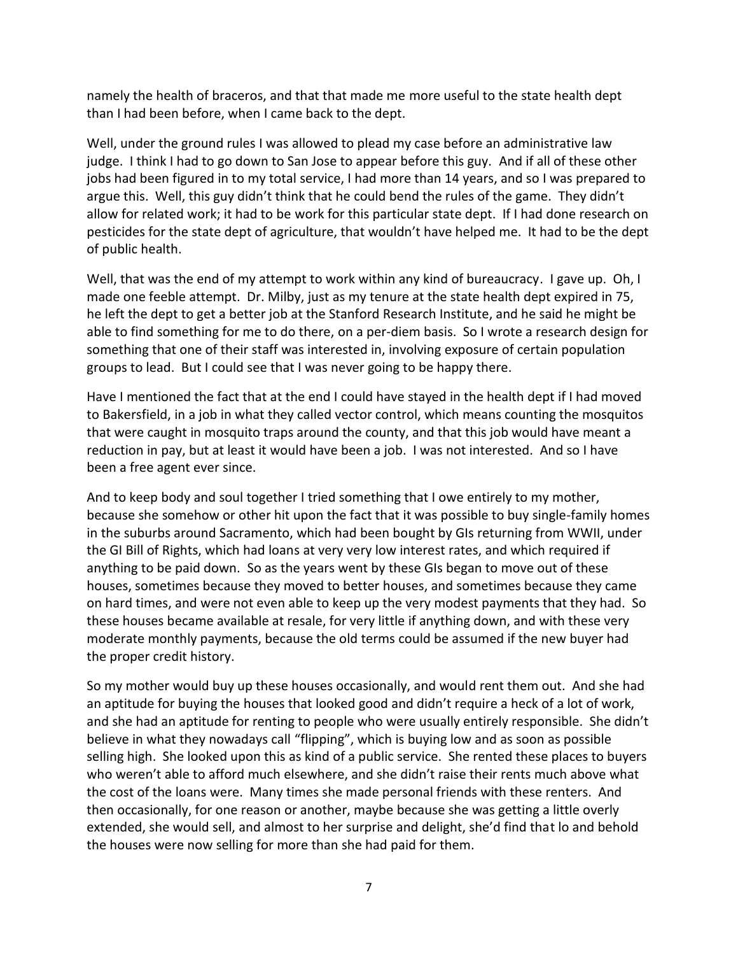namely the health of braceros, and that that made me more useful to the state health dept than I had been before, when I came back to the dept.

Well, under the ground rules I was allowed to plead my case before an administrative law judge. I think I had to go down to San Jose to appear before this guy. And if all of these other jobs had been figured in to my total service, I had more than 14 years, and so I was prepared to argue this. Well, this guy didn't think that he could bend the rules of the game. They didn't allow for related work; it had to be work for this particular state dept. If I had done research on pesticides for the state dept of agriculture, that wouldn't have helped me. It had to be the dept of public health.

Well, that was the end of my attempt to work within any kind of bureaucracy. I gave up. Oh, I made one feeble attempt. Dr. Milby, just as my tenure at the state health dept expired in 75, he left the dept to get a better job at the Stanford Research Institute, and he said he might be able to find something for me to do there, on a per-diem basis. So I wrote a research design for something that one of their staff was interested in, involving exposure of certain population groups to lead. But I could see that I was never going to be happy there.

Have I mentioned the fact that at the end I could have stayed in the health dept if I had moved to Bakersfield, in a job in what they called vector control, which means counting the mosquitos that were caught in mosquito traps around the county, and that this job would have meant a reduction in pay, but at least it would have been a job. I was not interested. And so I have been a free agent ever since.

And to keep body and soul together I tried something that I owe entirely to my mother, because she somehow or other hit upon the fact that it was possible to buy single-family homes in the suburbs around Sacramento, which had been bought by GIs returning from WWII, under the GI Bill of Rights, which had loans at very very low interest rates, and which required if anything to be paid down. So as the years went by these GIs began to move out of these houses, sometimes because they moved to better houses, and sometimes because they came on hard times, and were not even able to keep up the very modest payments that they had. So these houses became available at resale, for very little if anything down, and with these very moderate monthly payments, because the old terms could be assumed if the new buyer had the proper credit history.

So my mother would buy up these houses occasionally, and would rent them out. And she had an aptitude for buying the houses that looked good and didn't require a heck of a lot of work, and she had an aptitude for renting to people who were usually entirely responsible. She didn't believe in what they nowadays call "flipping", which is buying low and as soon as possible selling high. She looked upon this as kind of a public service. She rented these places to buyers who weren't able to afford much elsewhere, and she didn't raise their rents much above what the cost of the loans were. Many times she made personal friends with these renters. And then occasionally, for one reason or another, maybe because she was getting a little overly extended, she would sell, and almost to her surprise and delight, she'd find that lo and behold the houses were now selling for more than she had paid for them.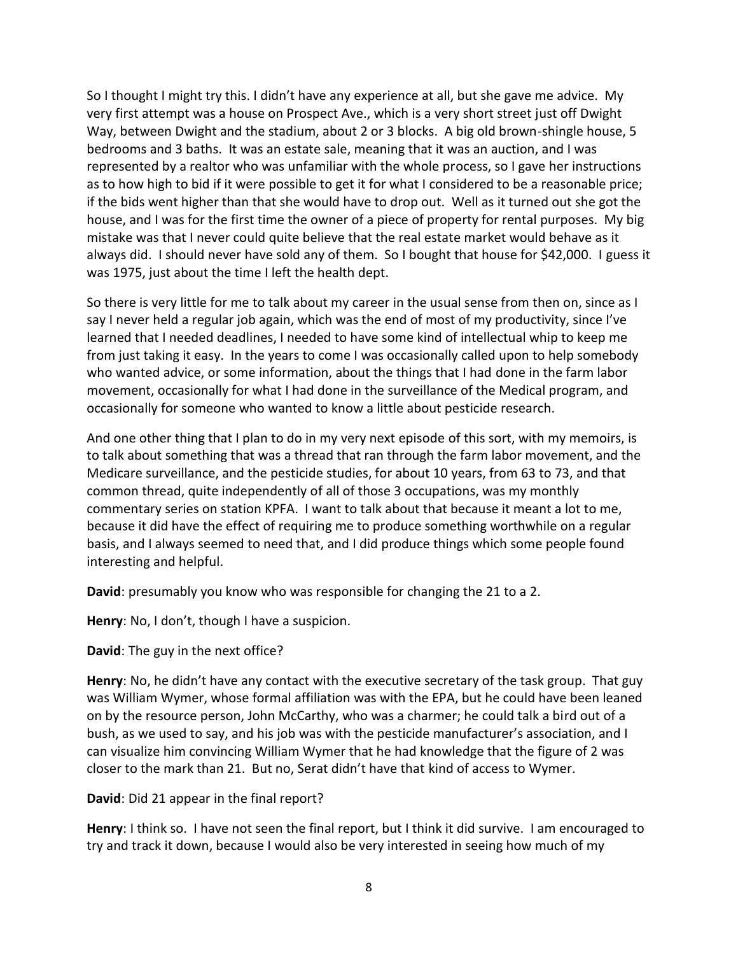So I thought I might try this. I didn't have any experience at all, but she gave me advice. My very first attempt was a house on Prospect Ave., which is a very short street just off Dwight Way, between Dwight and the stadium, about 2 or 3 blocks. A big old brown-shingle house, 5 bedrooms and 3 baths. It was an estate sale, meaning that it was an auction, and I was represented by a realtor who was unfamiliar with the whole process, so I gave her instructions as to how high to bid if it were possible to get it for what I considered to be a reasonable price; if the bids went higher than that she would have to drop out. Well as it turned out she got the house, and I was for the first time the owner of a piece of property for rental purposes. My big mistake was that I never could quite believe that the real estate market would behave as it always did. I should never have sold any of them. So I bought that house for \$42,000. I guess it was 1975, just about the time I left the health dept.

So there is very little for me to talk about my career in the usual sense from then on, since as I say I never held a regular job again, which was the end of most of my productivity, since I've learned that I needed deadlines, I needed to have some kind of intellectual whip to keep me from just taking it easy. In the years to come I was occasionally called upon to help somebody who wanted advice, or some information, about the things that I had done in the farm labor movement, occasionally for what I had done in the surveillance of the Medical program, and occasionally for someone who wanted to know a little about pesticide research.

And one other thing that I plan to do in my very next episode of this sort, with my memoirs, is to talk about something that was a thread that ran through the farm labor movement, and the Medicare surveillance, and the pesticide studies, for about 10 years, from 63 to 73, and that common thread, quite independently of all of those 3 occupations, was my monthly commentary series on station KPFA. I want to talk about that because it meant a lot to me, because it did have the effect of requiring me to produce something worthwhile on a regular basis, and I always seemed to need that, and I did produce things which some people found interesting and helpful.

**David**: presumably you know who was responsible for changing the 21 to a 2.

**Henry**: No, I don't, though I have a suspicion.

**David**: The guy in the next office?

**Henry**: No, he didn't have any contact with the executive secretary of the task group. That guy was William Wymer, whose formal affiliation was with the EPA, but he could have been leaned on by the resource person, John McCarthy, who was a charmer; he could talk a bird out of a bush, as we used to say, and his job was with the pesticide manufacturer's association, and I can visualize him convincing William Wymer that he had knowledge that the figure of 2 was closer to the mark than 21. But no, Serat didn't have that kind of access to Wymer.

**David**: Did 21 appear in the final report?

**Henry**: I think so. I have not seen the final report, but I think it did survive. I am encouraged to try and track it down, because I would also be very interested in seeing how much of my